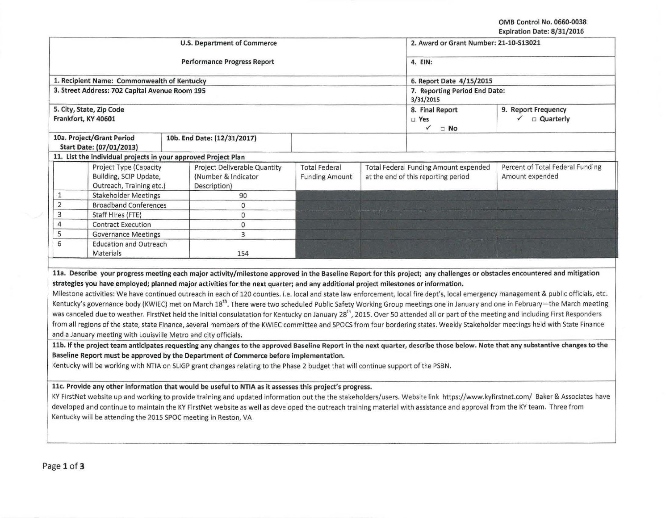OMB Control No. 0660·0038

| Expiration Date: 8/31/2016 |  |  |
|----------------------------|--|--|
|                            |  |  |

|                                                                                                                                   | <b>U.S. Department of Commerce</b>                                                                                                                                                                                                                                                                                                                                                                                                                                                                                                                                                                                                                                                                                                                                                                                                                                                                                                                                                                                                                                                                                                                                                                                                                                                                                                                                                                                                                                                                                                                                                                                                                                                                                                                                                               |                                                       | 2. Award or Grant Number: 21-10-S13021                                              |                                                                                                                                                                                 |  |  |
|-----------------------------------------------------------------------------------------------------------------------------------|--------------------------------------------------------------------------------------------------------------------------------------------------------------------------------------------------------------------------------------------------------------------------------------------------------------------------------------------------------------------------------------------------------------------------------------------------------------------------------------------------------------------------------------------------------------------------------------------------------------------------------------------------------------------------------------------------------------------------------------------------------------------------------------------------------------------------------------------------------------------------------------------------------------------------------------------------------------------------------------------------------------------------------------------------------------------------------------------------------------------------------------------------------------------------------------------------------------------------------------------------------------------------------------------------------------------------------------------------------------------------------------------------------------------------------------------------------------------------------------------------------------------------------------------------------------------------------------------------------------------------------------------------------------------------------------------------------------------------------------------------------------------------------------------------|-------------------------------------------------------|-------------------------------------------------------------------------------------|---------------------------------------------------------------------------------------------------------------------------------------------------------------------------------|--|--|
|                                                                                                                                   | <b>Performance Progress Report</b>                                                                                                                                                                                                                                                                                                                                                                                                                                                                                                                                                                                                                                                                                                                                                                                                                                                                                                                                                                                                                                                                                                                                                                                                                                                                                                                                                                                                                                                                                                                                                                                                                                                                                                                                                               | 4. EIN:                                               |                                                                                     |                                                                                                                                                                                 |  |  |
| 1. Recipient Name: Commonwealth of Kentucky                                                                                       |                                                                                                                                                                                                                                                                                                                                                                                                                                                                                                                                                                                                                                                                                                                                                                                                                                                                                                                                                                                                                                                                                                                                                                                                                                                                                                                                                                                                                                                                                                                                                                                                                                                                                                                                                                                                  | 6. Report Date 4/15/2015                              |                                                                                     |                                                                                                                                                                                 |  |  |
| 3. Street Address: 702 Capital Avenue Room 195                                                                                    |                                                                                                                                                                                                                                                                                                                                                                                                                                                                                                                                                                                                                                                                                                                                                                                                                                                                                                                                                                                                                                                                                                                                                                                                                                                                                                                                                                                                                                                                                                                                                                                                                                                                                                                                                                                                  | 3/31/2015                                             | 7. Reporting Period End Date:                                                       |                                                                                                                                                                                 |  |  |
| 5. City, State, Zip Code<br>Frankfort, KY 40601                                                                                   |                                                                                                                                                                                                                                                                                                                                                                                                                                                                                                                                                                                                                                                                                                                                                                                                                                                                                                                                                                                                                                                                                                                                                                                                                                                                                                                                                                                                                                                                                                                                                                                                                                                                                                                                                                                                  | 8. Final Report<br>□ Yes<br>$\checkmark$<br>$\Box$ No | 9. Report Frequency<br>$\checkmark$ $\Box$ Quarterly                                |                                                                                                                                                                                 |  |  |
| 10a. Project/Grant Period<br>Start Date: (07/01/2013)                                                                             | 10b. End Date: (12/31/2017)                                                                                                                                                                                                                                                                                                                                                                                                                                                                                                                                                                                                                                                                                                                                                                                                                                                                                                                                                                                                                                                                                                                                                                                                                                                                                                                                                                                                                                                                                                                                                                                                                                                                                                                                                                      |                                                       |                                                                                     |                                                                                                                                                                                 |  |  |
| 11. List the individual projects in your approved Project Plan                                                                    |                                                                                                                                                                                                                                                                                                                                                                                                                                                                                                                                                                                                                                                                                                                                                                                                                                                                                                                                                                                                                                                                                                                                                                                                                                                                                                                                                                                                                                                                                                                                                                                                                                                                                                                                                                                                  |                                                       |                                                                                     |                                                                                                                                                                                 |  |  |
| Project Type (Capacity<br>Building, SCIP Update,<br>Outreach, Training etc.)                                                      | Project Deliverable Quantity<br>(Number & Indicator<br>Description)                                                                                                                                                                                                                                                                                                                                                                                                                                                                                                                                                                                                                                                                                                                                                                                                                                                                                                                                                                                                                                                                                                                                                                                                                                                                                                                                                                                                                                                                                                                                                                                                                                                                                                                              | <b>Total Federal</b><br><b>Funding Amount</b>         | <b>Total Federal Funding Amount expended</b><br>at the end of this reporting period | Percent of Total Federal Funding<br>Amount expended                                                                                                                             |  |  |
| $\mathbf{1}% _{T}=\mathbf{1}_{T}\times\mathbf{1}_{T}$<br><b>Stakeholder Meetings</b>                                              | 90                                                                                                                                                                                                                                                                                                                                                                                                                                                                                                                                                                                                                                                                                                                                                                                                                                                                                                                                                                                                                                                                                                                                                                                                                                                                                                                                                                                                                                                                                                                                                                                                                                                                                                                                                                                               |                                                       |                                                                                     |                                                                                                                                                                                 |  |  |
| $\overline{2}$<br><b>Broadband Conferences</b>                                                                                    | $\circ$                                                                                                                                                                                                                                                                                                                                                                                                                                                                                                                                                                                                                                                                                                                                                                                                                                                                                                                                                                                                                                                                                                                                                                                                                                                                                                                                                                                                                                                                                                                                                                                                                                                                                                                                                                                          |                                                       |                                                                                     |                                                                                                                                                                                 |  |  |
| 3<br>Staff Hires (FTE)                                                                                                            | $\Omega$                                                                                                                                                                                                                                                                                                                                                                                                                                                                                                                                                                                                                                                                                                                                                                                                                                                                                                                                                                                                                                                                                                                                                                                                                                                                                                                                                                                                                                                                                                                                                                                                                                                                                                                                                                                         |                                                       |                                                                                     |                                                                                                                                                                                 |  |  |
| 4<br><b>Contract Execution</b>                                                                                                    | $\mathbf{0}$                                                                                                                                                                                                                                                                                                                                                                                                                                                                                                                                                                                                                                                                                                                                                                                                                                                                                                                                                                                                                                                                                                                                                                                                                                                                                                                                                                                                                                                                                                                                                                                                                                                                                                                                                                                     |                                                       |                                                                                     |                                                                                                                                                                                 |  |  |
| 5<br><b>Governance Meetings</b>                                                                                                   | 3                                                                                                                                                                                                                                                                                                                                                                                                                                                                                                                                                                                                                                                                                                                                                                                                                                                                                                                                                                                                                                                                                                                                                                                                                                                                                                                                                                                                                                                                                                                                                                                                                                                                                                                                                                                                |                                                       |                                                                                     |                                                                                                                                                                                 |  |  |
| 6<br><b>Education and Outreach</b><br>Materials                                                                                   | 154                                                                                                                                                                                                                                                                                                                                                                                                                                                                                                                                                                                                                                                                                                                                                                                                                                                                                                                                                                                                                                                                                                                                                                                                                                                                                                                                                                                                                                                                                                                                                                                                                                                                                                                                                                                              |                                                       |                                                                                     |                                                                                                                                                                                 |  |  |
| and a January meeting with Louisville Metro and city officials.<br>Kentucky will be attending the 2015 SPOC meeting in Reston, VA | 11a. Describe your progress meeting each major activity/milestone approved in the Baseline Report for this project; any challenges or obstacles encountered and mitigation<br>strategies you have employed; planned major activities for the next quarter; and any additional project milestones or information.<br>Milestone activities: We have continued outreach in each of 120 counties. i.e. local and state law enforcement, local fire dept's, local emergency management & public officials, etc.<br>Kentucky's governance body (KWIEC) met on March 18 <sup>th</sup> . There were two scheduled Public Safety Working Group meetings one in January and one in February—the March meeting<br>was canceled due to weather. FirstNet held the initial consulatation for Kentucky on January 28 <sup>th</sup> , 2015. Over 50 attended all or part of the meeting and including First Responders<br>from all regions of the state, state Finance, several members of the KWIEC committee and SPOCS from four bordering states. Weekly Stakeholder meetings held with State Finance<br>11b. If the project team anticipates requesting any changes to the approved Baseline Report in the next quarter, describe those below. Note that any substantive changes to the<br>Baseline Report must be approved by the Department of Commerce before implementation.<br>Kentucky will be working with NTIA on SLIGP grant changes relating to the Phase 2 budget that will continue support of the PSBN.<br>11c. Provide any other information that would be useful to NTIA as it assesses this project's progress.<br>developed and continue to maintain the KY FirstNet website as well as developed the outreach training material with assistance and approval from the KY team. Three from |                                                       |                                                                                     | KY FirstNet website up and working to provide training and updated information out the the stakeholders/users. Website link https://www.kyfirstnet.com/ Baker & Associates have |  |  |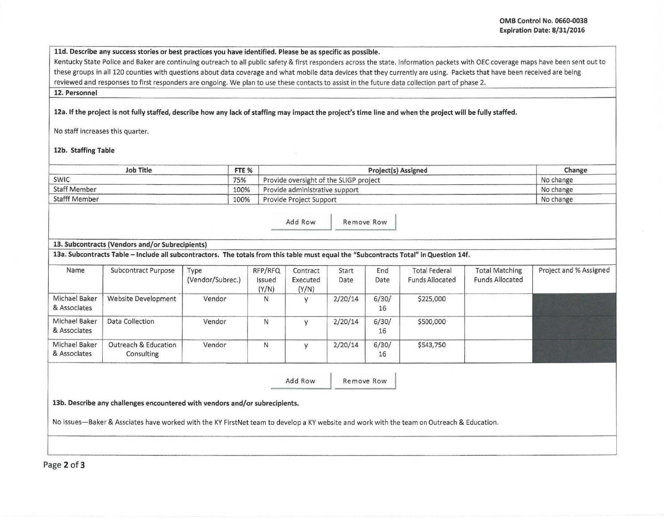## lld. Describe any success stories or best practices you have identified. Please be as specific as possible.

Kentucky State Police and Baker are continuing outreach to all public safety & first responders across the state. Information packets with OEC coverage maps have been sent out to these groups in all 120 counties with questions about data coverage and what mobile data devices that they currently are using. Packets that have been received are being reviewed and responses to first responders are ongoing. We plan to use these contacts to assist in the future data collection part of phase 2.

12. Personnel

12a. If the project is not fully staffed, describe how any lack of staffing may impact the project's time line and when the project will be fully staffed.

No staff increases this quarter.

## 12b. Staffing Table

| <b>Job Title</b>     | FTE <sub>%</sub> | <b>Project(s) Assigned</b>             | Change    |  |
|----------------------|------------------|----------------------------------------|-----------|--|
| <b>SWIC</b>          | 75%              | Provide oversight of the SLIGP project | No change |  |
| <b>Staff Member</b>  | 100%             | Provide administrative support         | No change |  |
| <b>Stafff Member</b> | 100%             | Provide Project Support                | No change |  |

Add Row Remove Row

## 13. Subcontracts (Vendors and/or Subrecipients)

13a. Subcontracts Table -Include all subcontractors. The totals from this table must equal the "Subcontracts Total" in Question 14f.

| Name                          | <b>Subcontract Purpose</b>         | Type<br>(Vendor/Subrec.) | RFP/RFQ<br>Issued<br>(Y/N) | Contract<br>Executed<br>(Y/N) | Start<br>Date | End<br>Date | <b>Total Federal</b><br><b>Funds Allocated</b> | <b>Total Matching</b><br><b>Funds Allocated</b> | Project and % Assigned |
|-------------------------------|------------------------------------|--------------------------|----------------------------|-------------------------------|---------------|-------------|------------------------------------------------|-------------------------------------------------|------------------------|
| Michael Baker<br>& Associates | Website Development                | Vendor                   | N                          |                               | 2/20/14       | 6/30/<br>16 | \$225,000                                      |                                                 |                        |
| Michael Baker<br>& Associates | Data Collection                    | Vendor                   | N                          | $\overline{U}$                | 2/20/14       | 6/30/<br>16 | \$500,000                                      |                                                 |                        |
| Michael Baker<br>& Associates | Outreach & Education<br>Consulting | Vendor                   | N                          |                               | 2/20/14       | 6/30/<br>16 | \$543,750                                      |                                                 |                        |

Add Row Remove Row

13b. Describe any challenges encountered with vendors and/or subrecipients.

No issues-Baker & Assciates have worked with the KY FirstNet team to develop a KY website and work with the team on Outreach & Education.